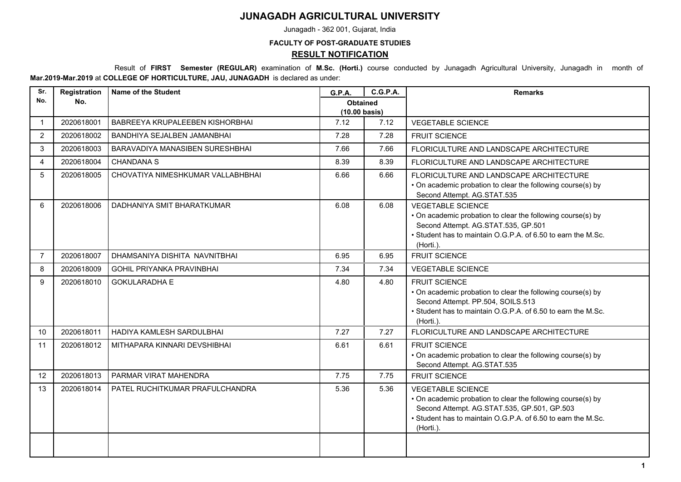## **JUNAGADH AGRICULTURAL UNIVERSITY**

Junagadh - 362 001, Gujarat, India

## **FACULTY OF POST-GRADUATE STUDIES RESULT NOTIFICATION**

 Result of **FIRST Semester (REGULAR)** examination of **M.Sc. (Horti.)** course conducted by Junagadh Agricultural University, Junagadh in month of **Mar.2019-Mar.2019** at **COLLEGE OF HORTICULTURE, JAU, JUNAGADH** is declared as under:

| Sr.            | Registration | <b>Name of the Student</b>        | <b>G.P.A.</b>                              | <b>C.G.P.A.</b> | <b>Remarks</b>                                                                                                                                                                                                      |
|----------------|--------------|-----------------------------------|--------------------------------------------|-----------------|---------------------------------------------------------------------------------------------------------------------------------------------------------------------------------------------------------------------|
| No.            | No.          |                                   | <b>Obtained</b><br>$(10.00 \text{ basis})$ |                 |                                                                                                                                                                                                                     |
| $\mathbf{1}$   | 2020618001   | BABREEYA KRUPALEEBEN KISHORBHAI   | 7.12                                       | 7.12            | <b>VEGETABLE SCIENCE</b>                                                                                                                                                                                            |
| 2              | 2020618002   | BANDHIYA SEJALBEN JAMANBHAI       | 7.28                                       | 7.28            | <b>FRUIT SCIENCE</b>                                                                                                                                                                                                |
| 3              | 2020618003   | BARAVADIYA MANASIBEN SURESHBHAI   | 7.66                                       | 7.66            | FLORICULTURE AND LANDSCAPE ARCHITECTURE                                                                                                                                                                             |
| 4              | 2020618004   | <b>CHANDANA S</b>                 | 8.39                                       | 8.39            | FLORICULTURE AND LANDSCAPE ARCHITECTURE                                                                                                                                                                             |
| 5              | 2020618005   | CHOVATIYA NIMESHKUMAR VALLABHBHAI | 6.66                                       | 6.66            | FLORICULTURE AND LANDSCAPE ARCHITECTURE<br>• On academic probation to clear the following course(s) by<br>Second Attempt. AG.STAT.535                                                                               |
| 6              | 2020618006   | DADHANIYA SMIT BHARATKUMAR        | 6.08                                       | 6.08            | <b>VEGETABLE SCIENCE</b><br>• On academic probation to clear the following course(s) by<br>Second Attempt. AG.STAT.535, GP.501<br>• Student has to maintain O.G.P.A. of 6.50 to earn the M.Sc.<br>(Horti.).         |
| $\overline{7}$ | 2020618007   | DHAMSANIYA DISHITA NAVNITBHAI     | 6.95                                       | 6.95            | <b>FRUIT SCIENCE</b>                                                                                                                                                                                                |
| 8              | 2020618009   | <b>GOHIL PRIYANKA PRAVINBHAI</b>  | 7.34                                       | 7.34            | <b>VEGETABLE SCIENCE</b>                                                                                                                                                                                            |
| 9              | 2020618010   | <b>GOKULARADHA E</b>              | 4.80                                       | 4.80            | <b>FRUIT SCIENCE</b><br>• On academic probation to clear the following course(s) by<br>Second Attempt. PP.504, SOILS.513<br>• Student has to maintain O.G.P.A. of 6.50 to earn the M.Sc.<br>(Horti.).               |
| 10             | 2020618011   | HADIYA KAMLESH SARDULBHAI         | 7.27                                       | 7.27            | FLORICULTURE AND LANDSCAPE ARCHITECTURE                                                                                                                                                                             |
| 11             | 2020618012   | MITHAPARA KINNARI DEVSHIBHAI      | 6.61                                       | 6.61            | FRUIT SCIENCE<br>• On academic probation to clear the following course(s) by<br>Second Attempt. AG.STAT.535                                                                                                         |
| 12             | 2020618013   | PARMAR VIRAT MAHENDRA             | 7.75                                       | 7.75            | <b>FRUIT SCIENCE</b>                                                                                                                                                                                                |
| 13             | 2020618014   | PATEL RUCHITKUMAR PRAFULCHANDRA   | 5.36                                       | 5.36            | <b>VEGETABLE SCIENCE</b><br>• On academic probation to clear the following course(s) by<br>Second Attempt. AG.STAT.535, GP.501, GP.503<br>• Student has to maintain O.G.P.A. of 6.50 to earn the M.Sc.<br>(Horti.). |
|                |              |                                   |                                            |                 |                                                                                                                                                                                                                     |